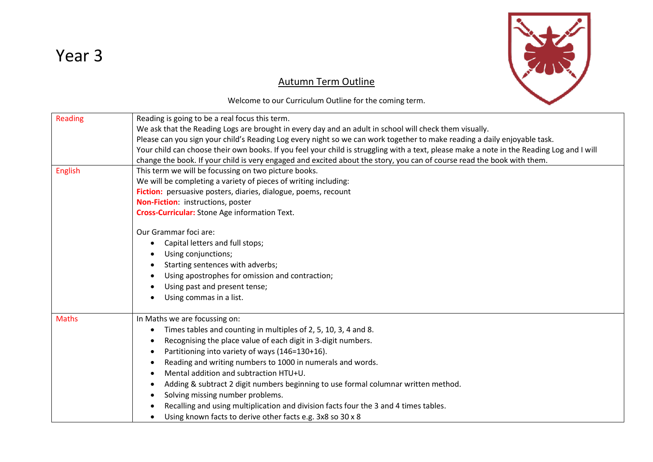



## Autumn Term Outline

Welcome to our Curriculum Outline for the coming term.

| Reading      | Reading is going to be a real focus this term.                                                                                            |  |  |  |
|--------------|-------------------------------------------------------------------------------------------------------------------------------------------|--|--|--|
|              | We ask that the Reading Logs are brought in every day and an adult in school will check them visually.                                    |  |  |  |
|              | Please can you sign your child's Reading Log every night so we can work together to make reading a daily enjoyable task.                  |  |  |  |
|              | Your child can choose their own books. If you feel your child is struggling with a text, please make a note in the Reading Log and I will |  |  |  |
|              | change the book. If your child is very engaged and excited about the story, you can of course read the book with them.                    |  |  |  |
| English      | This term we will be focussing on two picture books.                                                                                      |  |  |  |
|              | We will be completing a variety of pieces of writing including:                                                                           |  |  |  |
|              | Fiction: persuasive posters, diaries, dialogue, poems, recount                                                                            |  |  |  |
|              | Non-Fiction: instructions, poster                                                                                                         |  |  |  |
|              | Cross-Curricular: Stone Age information Text.                                                                                             |  |  |  |
|              | Our Grammar foci are:                                                                                                                     |  |  |  |
|              | Capital letters and full stops;<br>$\bullet$                                                                                              |  |  |  |
|              | Using conjunctions;                                                                                                                       |  |  |  |
|              | Starting sentences with adverbs;                                                                                                          |  |  |  |
|              | Using apostrophes for omission and contraction;                                                                                           |  |  |  |
|              | Using past and present tense;                                                                                                             |  |  |  |
|              | Using commas in a list.                                                                                                                   |  |  |  |
| <b>Maths</b> | In Maths we are focussing on:                                                                                                             |  |  |  |
|              | Times tables and counting in multiples of 2, 5, 10, 3, 4 and 8.<br>$\bullet$                                                              |  |  |  |
|              | Recognising the place value of each digit in 3-digit numbers.                                                                             |  |  |  |
|              | Partitioning into variety of ways (146=130+16).<br>$\bullet$                                                                              |  |  |  |
|              | Reading and writing numbers to 1000 in numerals and words.                                                                                |  |  |  |
|              | Mental addition and subtraction HTU+U.                                                                                                    |  |  |  |
|              | Adding & subtract 2 digit numbers beginning to use formal columnar written method.                                                        |  |  |  |
|              | Solving missing number problems.<br>$\bullet$                                                                                             |  |  |  |
|              | Recalling and using multiplication and division facts four the 3 and 4 times tables.                                                      |  |  |  |
|              | Using known facts to derive other facts e.g. 3x8 so 30 x 8                                                                                |  |  |  |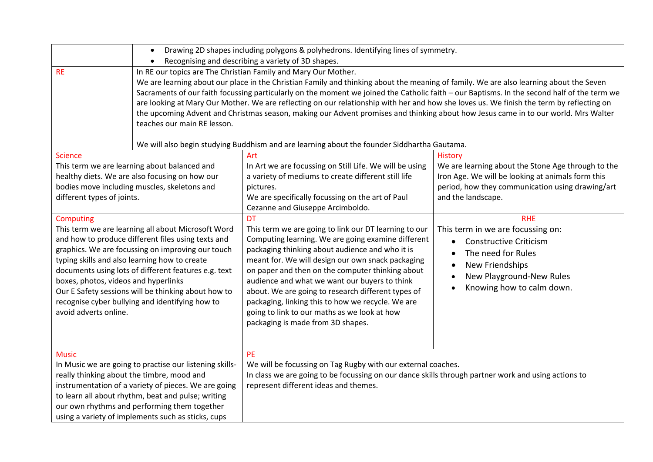|                                                                                                                                                                                                                                                                                                                                                                                                                                                                | Drawing 2D shapes including polygons & polyhedrons. Identifying lines of symmetry.<br>$\bullet$<br>Recognising and describing a variety of 3D shapes.<br>$\bullet$                                                                                                                                                                                                                                                                                                                                                                                                                                                                                                                                                                                                      |                                                                                                                                                                                                                                                                                                                                                                                                                                                                                                                                       |                                                                                                                                                                                                                                        |
|----------------------------------------------------------------------------------------------------------------------------------------------------------------------------------------------------------------------------------------------------------------------------------------------------------------------------------------------------------------------------------------------------------------------------------------------------------------|-------------------------------------------------------------------------------------------------------------------------------------------------------------------------------------------------------------------------------------------------------------------------------------------------------------------------------------------------------------------------------------------------------------------------------------------------------------------------------------------------------------------------------------------------------------------------------------------------------------------------------------------------------------------------------------------------------------------------------------------------------------------------|---------------------------------------------------------------------------------------------------------------------------------------------------------------------------------------------------------------------------------------------------------------------------------------------------------------------------------------------------------------------------------------------------------------------------------------------------------------------------------------------------------------------------------------|----------------------------------------------------------------------------------------------------------------------------------------------------------------------------------------------------------------------------------------|
| <b>RE</b>                                                                                                                                                                                                                                                                                                                                                                                                                                                      | In RE our topics are The Christian Family and Mary Our Mother.<br>We are learning about our place in the Christian Family and thinking about the meaning of family. We are also learning about the Seven<br>Sacraments of our faith focussing particularly on the moment we joined the Catholic faith - our Baptisms. In the second half of the term we<br>are looking at Mary Our Mother. We are reflecting on our relationship with her and how she loves us. We finish the term by reflecting on<br>the upcoming Advent and Christmas season, making our Advent promises and thinking about how Jesus came in to our world. Mrs Walter<br>teaches our main RE lesson.<br>We will also begin studying Buddhism and are learning about the founder Siddhartha Gautama. |                                                                                                                                                                                                                                                                                                                                                                                                                                                                                                                                       |                                                                                                                                                                                                                                        |
| <b>Science</b><br>This term we are learning about balanced and<br>healthy diets. We are also focusing on how our<br>bodies move including muscles, skeletons and<br>different types of joints.                                                                                                                                                                                                                                                                 |                                                                                                                                                                                                                                                                                                                                                                                                                                                                                                                                                                                                                                                                                                                                                                         | Art<br>In Art we are focussing on Still Life. We will be using<br>a variety of mediums to create different still life<br>pictures.<br>We are specifically focussing on the art of Paul<br>Cezanne and Giuseppe Arcimboldo.                                                                                                                                                                                                                                                                                                            | <b>History</b><br>We are learning about the Stone Age through to the<br>Iron Age. We will be looking at animals form this<br>period, how they communication using drawing/art<br>and the landscape.                                    |
| Computing<br>This term we are learning all about Microsoft Word<br>and how to produce different files using texts and<br>graphics. We are focussing on improving our touch<br>typing skills and also learning how to create<br>documents using lots of different features e.g. text<br>boxes, photos, videos and hyperlinks<br>Our E Safety sessions will be thinking about how to<br>recognise cyber bullying and identifying how to<br>avoid adverts online. |                                                                                                                                                                                                                                                                                                                                                                                                                                                                                                                                                                                                                                                                                                                                                                         | <b>DT</b><br>This term we are going to link our DT learning to our<br>Computing learning. We are going examine different<br>packaging thinking about audience and who it is<br>meant for. We will design our own snack packaging<br>on paper and then on the computer thinking about<br>audience and what we want our buyers to think<br>about. We are going to research different types of<br>packaging, linking this to how we recycle. We are<br>going to link to our maths as we look at how<br>packaging is made from 3D shapes. | <b>RHE</b><br>This term in we are focussing on:<br><b>Constructive Criticism</b><br>$\bullet$<br>The need for Rules<br>$\bullet$<br>New Friendships<br>New Playground-New Rules<br>$\bullet$<br>Knowing how to calm down.<br>$\bullet$ |
| <b>Music</b><br>In Music we are going to practise our listening skills-<br>really thinking about the timbre, mood and<br>instrumentation of a variety of pieces. We are going<br>to learn all about rhythm, beat and pulse; writing<br>our own rhythms and performing them together<br>using a variety of implements such as sticks, cups                                                                                                                      |                                                                                                                                                                                                                                                                                                                                                                                                                                                                                                                                                                                                                                                                                                                                                                         | <b>PE</b><br>We will be focussing on Tag Rugby with our external coaches.<br>In class we are going to be focussing on our dance skills through partner work and using actions to<br>represent different ideas and themes.                                                                                                                                                                                                                                                                                                             |                                                                                                                                                                                                                                        |